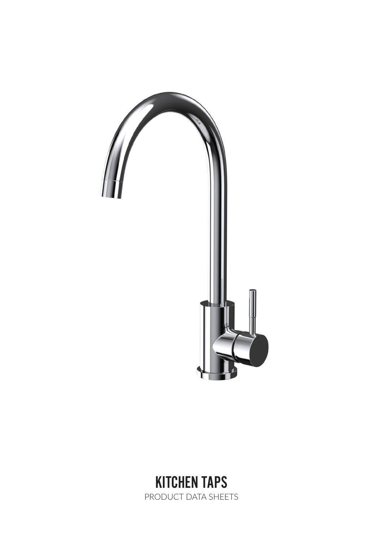

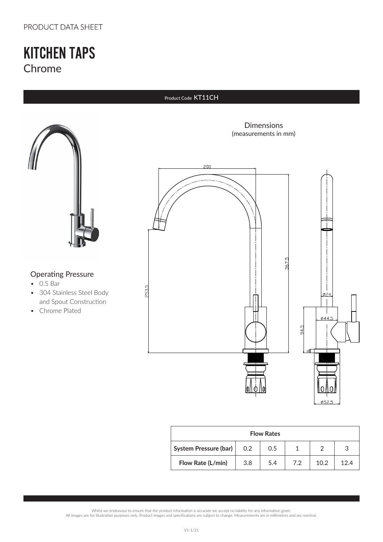### PRODUCT DATA SHEET

## KITCHEN TAPS Chrome

#### Product Code KT11CH



### Operating Pressure

- 0.5 Bar
- 304 Stainless Steel Body and Spout Construction
- Chrome Plated

Dimensions (measurements in mm)



| <b>Flow Rates</b>            |     |     |     |      |      |  |
|------------------------------|-----|-----|-----|------|------|--|
| <b>System Pressure (bar)</b> | 0.2 | 0.5 |     |      | 3    |  |
| Flow Rate (L/min)            | 3.8 | 5.4 | 7.2 | 10.2 | 12 A |  |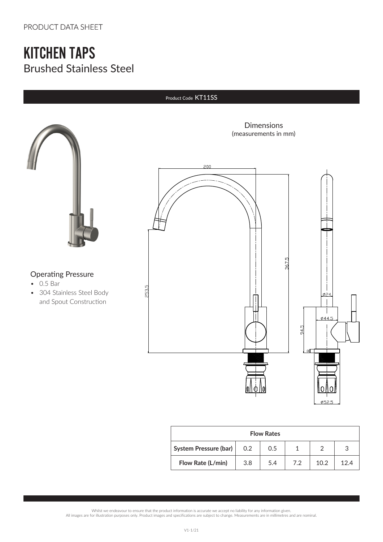# KITCHEN TAPS Brushed Stainless Steel

#### Product Code KT11SS



### Operating Pressure

- 0.5 Bar
- 304 Stainless Steel Body and Spout Construction



| <b>Flow Rates</b>            |     |     |     |      |      |  |
|------------------------------|-----|-----|-----|------|------|--|
| <b>System Pressure (bar)</b> | 0.2 | 0.5 |     |      | 2    |  |
| Flow Rate (L/min)            | 3.8 | 5.4 | 7.2 | 10.2 | 12.4 |  |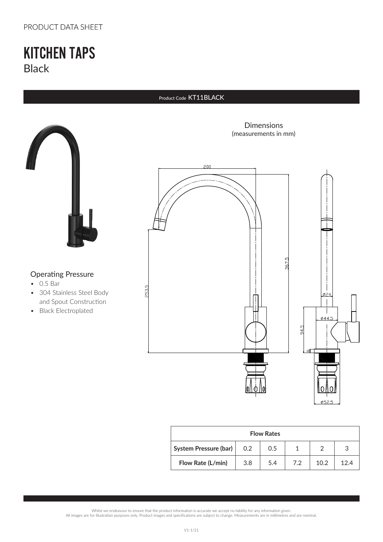### PRODUCT DATA SHEET

## KITCHEN TAPS Black

#### Product Code KT11BLACK



### Operating Pressure

- 0.5 Bar
- 304 Stainless Steel Body and Spout Construction
- Black Electroplated

Dimensions (measurements in mm)



| <b>Flow Rates</b>            |     |     |     |      |      |  |
|------------------------------|-----|-----|-----|------|------|--|
| <b>System Pressure (bar)</b> | 0.2 | 0.5 |     |      |      |  |
| Flow Rate (L/min)            | 3.8 | 5.4 | 7.2 | 10.2 | 12 A |  |